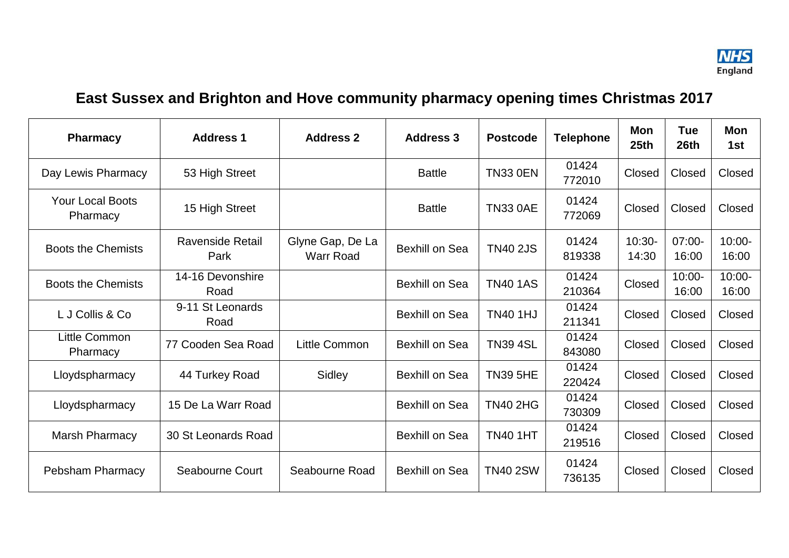

## **East Sussex and Brighton and Hove community pharmacy opening times Christmas 2017**

| <b>Pharmacy</b>                     | <b>Address 1</b>                | <b>Address 2</b>                     | <b>Address 3</b>      | <b>Postcode</b> | <b>Telephone</b> | Mon<br>25 <sub>th</sub> | <b>Tue</b><br>26th | Mon<br>1st         |
|-------------------------------------|---------------------------------|--------------------------------------|-----------------------|-----------------|------------------|-------------------------|--------------------|--------------------|
| Day Lewis Pharmacy                  | 53 High Street                  |                                      | <b>Battle</b>         | <b>TN33 0EN</b> | 01424<br>772010  | Closed                  | Closed             | Closed             |
| <b>Your Local Boots</b><br>Pharmacy | 15 High Street                  |                                      | <b>Battle</b>         | <b>TN33 0AE</b> | 01424<br>772069  | Closed                  | Closed             | Closed             |
| <b>Boots the Chemists</b>           | <b>Ravenside Retail</b><br>Park | Glyne Gap, De La<br><b>Warr Road</b> | <b>Bexhill on Sea</b> | <b>TN40 2JS</b> | 01424<br>819338  | $10:30-$<br>14:30       | $07:00 -$<br>16:00 | $10:00 -$<br>16:00 |
| <b>Boots the Chemists</b>           | 14-16 Devonshire<br>Road        |                                      | <b>Bexhill on Sea</b> | <b>TN40 1AS</b> | 01424<br>210364  | Closed                  | $10:00 -$<br>16:00 | 10:00-<br>16:00    |
| L J Collis & Co                     | 9-11 St Leonards<br>Road        |                                      | <b>Bexhill on Sea</b> | <b>TN40 1HJ</b> | 01424<br>211341  | Closed                  | Closed             | Closed             |
| <b>Little Common</b><br>Pharmacy    | 77 Cooden Sea Road              | Little Common                        | <b>Bexhill on Sea</b> | <b>TN39 4SL</b> | 01424<br>843080  | Closed                  | Closed             | Closed             |
| Lloydspharmacy                      | 44 Turkey Road                  | Sidley                               | <b>Bexhill on Sea</b> | <b>TN39 5HE</b> | 01424<br>220424  | Closed                  | Closed             | Closed             |
| Lloydspharmacy                      | 15 De La Warr Road              |                                      | <b>Bexhill on Sea</b> | <b>TN40 2HG</b> | 01424<br>730309  | Closed                  | Closed             | Closed             |
| Marsh Pharmacy                      | 30 St Leonards Road             |                                      | <b>Bexhill on Sea</b> | <b>TN40 1HT</b> | 01424<br>219516  | Closed                  | Closed             | Closed             |
| Pebsham Pharmacy                    | Seabourne Court                 | Seabourne Road                       | <b>Bexhill on Sea</b> | <b>TN40 2SW</b> | 01424<br>736135  | Closed                  | Closed             | Closed             |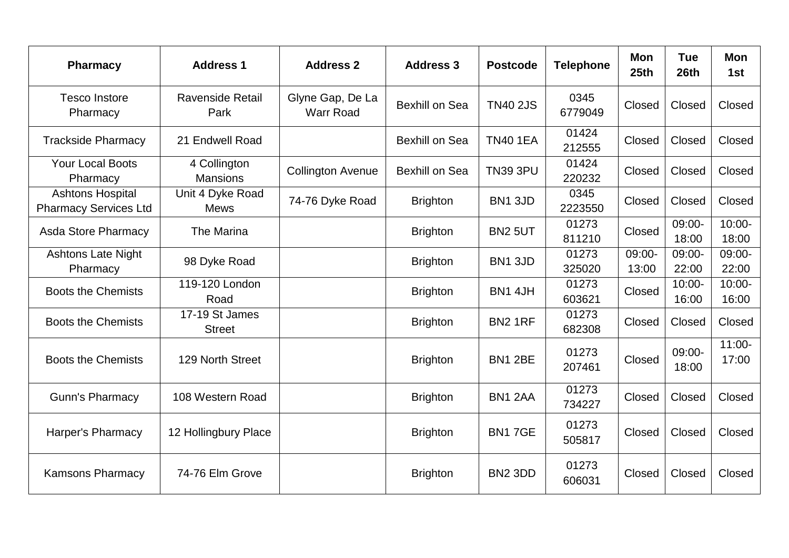| <b>Pharmacy</b>                                         | <b>Address 1</b>                | <b>Address 2</b>                     | <b>Address 3</b>      | <b>Postcode</b> | <b>Telephone</b> | <b>Mon</b><br>25 <sub>th</sub> | <b>Tue</b><br>26 <sub>th</sub> | <b>Mon</b><br>1st  |
|---------------------------------------------------------|---------------------------------|--------------------------------------|-----------------------|-----------------|------------------|--------------------------------|--------------------------------|--------------------|
| <b>Tesco Instore</b><br>Pharmacy                        | <b>Ravenside Retail</b><br>Park | Glyne Gap, De La<br><b>Warr Road</b> | <b>Bexhill on Sea</b> | <b>TN40 2JS</b> | 0345<br>6779049  | Closed                         | Closed                         | Closed             |
| <b>Trackside Pharmacy</b>                               | 21 Endwell Road                 |                                      | <b>Bexhill on Sea</b> | <b>TN40 1EA</b> | 01424<br>212555  | Closed                         | Closed                         | Closed             |
| <b>Your Local Boots</b><br>Pharmacy                     | 4 Collington<br><b>Mansions</b> | <b>Collington Avenue</b>             | <b>Bexhill on Sea</b> | <b>TN39 3PU</b> | 01424<br>220232  | Closed                         | Closed                         | Closed             |
| <b>Ashtons Hospital</b><br><b>Pharmacy Services Ltd</b> | Unit 4 Dyke Road<br><b>Mews</b> | 74-76 Dyke Road                      | <b>Brighton</b>       | BN1 3JD         | 0345<br>2223550  | Closed                         | Closed                         | Closed             |
| <b>Asda Store Pharmacy</b>                              | The Marina                      |                                      | <b>Brighton</b>       | <b>BN2 5UT</b>  | 01273<br>811210  | Closed                         | 09:00-<br>18:00                | $10:00 -$<br>18:00 |
| <b>Ashtons Late Night</b><br>Pharmacy                   | 98 Dyke Road                    |                                      | <b>Brighton</b>       | BN1 3JD         | 01273<br>325020  | $09:00-$<br>13:00              | $09:00-$<br>22:00              | 09:00-<br>22:00    |
| <b>Boots the Chemists</b>                               | 119-120 London<br>Road          |                                      | <b>Brighton</b>       | BN1 4JH         | 01273<br>603621  | Closed                         | $10:00 -$<br>16:00             | $10:00 -$<br>16:00 |
| <b>Boots the Chemists</b>                               | 17-19 St James<br><b>Street</b> |                                      | <b>Brighton</b>       | <b>BN2 1RF</b>  | 01273<br>682308  | Closed                         | Closed                         | Closed             |
| <b>Boots the Chemists</b>                               | 129 North Street                |                                      | <b>Brighton</b>       | <b>BN1 2BE</b>  | 01273<br>207461  | Closed                         | 09:00-<br>18:00                | $11:00 -$<br>17:00 |
| <b>Gunn's Pharmacy</b>                                  | 108 Western Road                |                                      | <b>Brighton</b>       | BN1 2AA         | 01273<br>734227  | Closed                         | Closed                         | Closed             |
| Harper's Pharmacy                                       | 12 Hollingbury Place            |                                      | <b>Brighton</b>       | <b>BN17GE</b>   | 01273<br>505817  | Closed                         | Closed                         | Closed             |
| <b>Kamsons Pharmacy</b>                                 | 74-76 Elm Grove                 |                                      | <b>Brighton</b>       | <b>BN2 3DD</b>  | 01273<br>606031  | Closed                         | Closed                         | Closed             |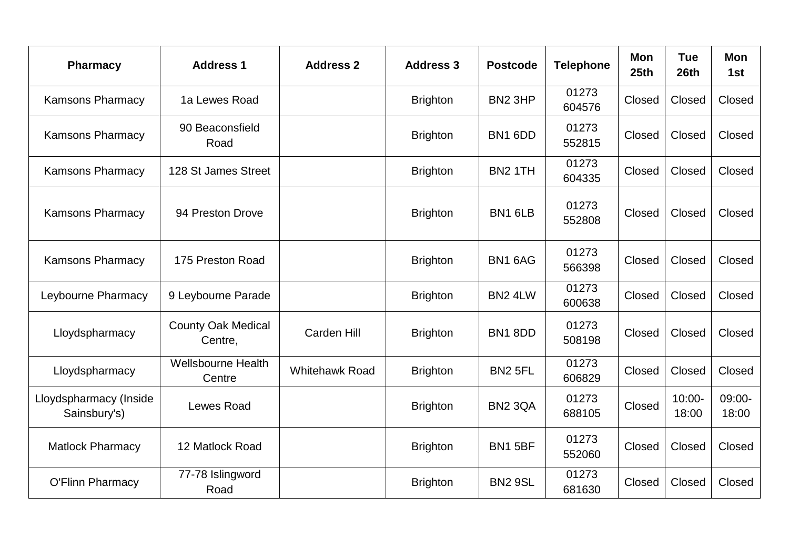| <b>Pharmacy</b>                        | <b>Address 1</b>                       | <b>Address 2</b>      | <b>Address 3</b> | <b>Postcode</b>     | <b>Telephone</b> | <b>Mon</b><br>25 <sub>th</sub> | <b>Tue</b><br>26th | <b>Mon</b><br>1st |
|----------------------------------------|----------------------------------------|-----------------------|------------------|---------------------|------------------|--------------------------------|--------------------|-------------------|
| <b>Kamsons Pharmacy</b>                | 1a Lewes Road                          |                       | <b>Brighton</b>  | BN <sub>2</sub> 3HP | 01273<br>604576  | Closed                         | Closed             | Closed            |
| <b>Kamsons Pharmacy</b>                | 90 Beaconsfield<br>Road                |                       | <b>Brighton</b>  | BN1 6DD             | 01273<br>552815  | Closed                         | Closed             | Closed            |
| <b>Kamsons Pharmacy</b>                | 128 St James Street                    |                       | <b>Brighton</b>  | <b>BN2 1TH</b>      | 01273<br>604335  | Closed                         | Closed             | Closed            |
| <b>Kamsons Pharmacy</b>                | 94 Preston Drove                       |                       | <b>Brighton</b>  | BN1 6LB             | 01273<br>552808  | Closed                         | Closed             | Closed            |
| <b>Kamsons Pharmacy</b>                | 175 Preston Road                       |                       | <b>Brighton</b>  | BN1 6AG             | 01273<br>566398  | Closed                         | Closed             | Closed            |
| Leybourne Pharmacy                     | 9 Leybourne Parade                     |                       | <b>Brighton</b>  | BN2 4LW             | 01273<br>600638  | Closed                         | Closed             | Closed            |
| Lloydspharmacy                         | <b>County Oak Medical</b><br>Centre,   | <b>Carden Hill</b>    | <b>Brighton</b>  | BN18DD              | 01273<br>508198  | Closed                         | Closed             | Closed            |
| Lloydspharmacy                         | <b>Wellsbourne Health</b><br>Centre    | <b>Whitehawk Road</b> | <b>Brighton</b>  | <b>BN2 5FL</b>      | 01273<br>606829  | Closed                         | Closed             | Closed            |
| Lloydspharmacy (Inside<br>Sainsbury's) | <b>Lewes Road</b>                      |                       | <b>Brighton</b>  | <b>BN2 3QA</b>      | 01273<br>688105  | Closed                         | $10:00 -$<br>18:00 | 09:00-<br>18:00   |
| <b>Matlock Pharmacy</b>                | 12 Matlock Road                        |                       | <b>Brighton</b>  | <b>BN1 5BF</b>      | 01273<br>552060  | Closed                         | Closed             | Closed            |
| <b>O'Flinn Pharmacy</b>                | $\overline{77}$ -78 Islingword<br>Road |                       | <b>Brighton</b>  | <b>BN2 9SL</b>      | 01273<br>681630  | Closed                         | Closed             | Closed            |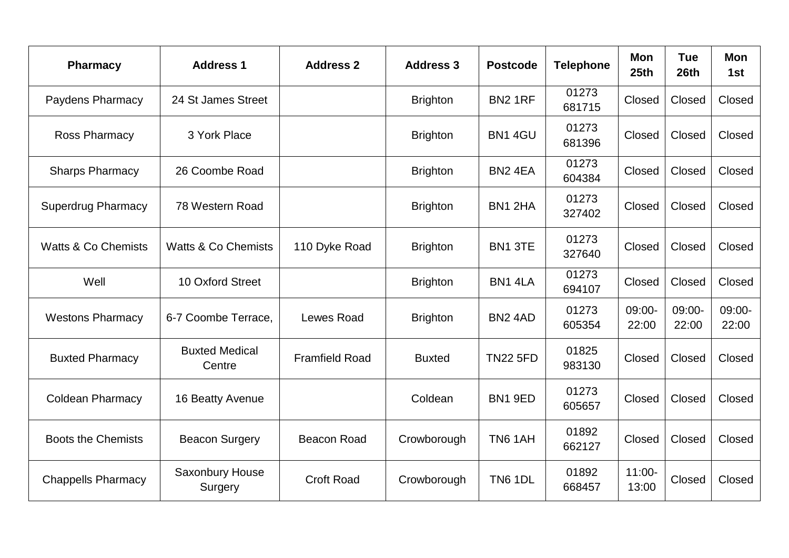| <b>Pharmacy</b>                | <b>Address 1</b>                | <b>Address 2</b>      | <b>Address 3</b> | <b>Postcode</b>     | <b>Telephone</b> | <b>Mon</b><br>25 <sub>th</sub> | <b>Tue</b><br>26 <sub>th</sub> | <b>Mon</b><br>1st |
|--------------------------------|---------------------------------|-----------------------|------------------|---------------------|------------------|--------------------------------|--------------------------------|-------------------|
| Paydens Pharmacy               | 24 St James Street              |                       | <b>Brighton</b>  | <b>BN2 1RF</b>      | 01273<br>681715  | Closed                         | Closed                         | Closed            |
| <b>Ross Pharmacy</b>           | 3 York Place                    |                       | <b>Brighton</b>  | BN1 4GU             | 01273<br>681396  | Closed                         | Closed                         | Closed            |
| <b>Sharps Pharmacy</b>         | 26 Coombe Road                  |                       | <b>Brighton</b>  | BN <sub>2</sub> 4EA | 01273<br>604384  | Closed                         | Closed                         | Closed            |
| <b>Superdrug Pharmacy</b>      | 78 Western Road                 |                       | <b>Brighton</b>  | BN1 2HA             | 01273<br>327402  | Closed                         | Closed                         | Closed            |
| <b>Watts &amp; Co Chemists</b> | <b>Watts &amp; Co Chemists</b>  | 110 Dyke Road         | <b>Brighton</b>  | BN1 3TE             | 01273<br>327640  | Closed                         | Closed                         | Closed            |
| Well                           | 10 Oxford Street                |                       | <b>Brighton</b>  | BN1 4LA             | 01273<br>694107  | Closed                         | Closed                         | Closed            |
| <b>Westons Pharmacy</b>        | 6-7 Coombe Terrace,             | <b>Lewes Road</b>     | <b>Brighton</b>  | <b>BN2 4AD</b>      | 01273<br>605354  | 09:00-<br>22:00                | 09:00-<br>22:00                | 09:00-<br>22:00   |
| <b>Buxted Pharmacy</b>         | <b>Buxted Medical</b><br>Centre | <b>Framfield Road</b> | <b>Buxted</b>    | <b>TN22 5FD</b>     | 01825<br>983130  | Closed                         | Closed                         | Closed            |
| <b>Coldean Pharmacy</b>        | 16 Beatty Avenue                |                       | Coldean          | BN1 9ED             | 01273<br>605657  | Closed                         | Closed                         | Closed            |
| <b>Boots the Chemists</b>      | <b>Beacon Surgery</b>           | <b>Beacon Road</b>    | Crowborough      | <b>TN6 1AH</b>      | 01892<br>662127  | Closed                         | Closed                         | Closed            |
| <b>Chappells Pharmacy</b>      | Saxonbury House<br>Surgery      | <b>Croft Road</b>     | Crowborough      | <b>TN6 1DL</b>      | 01892<br>668457  | $11:00 -$<br>13:00             | Closed                         | Closed            |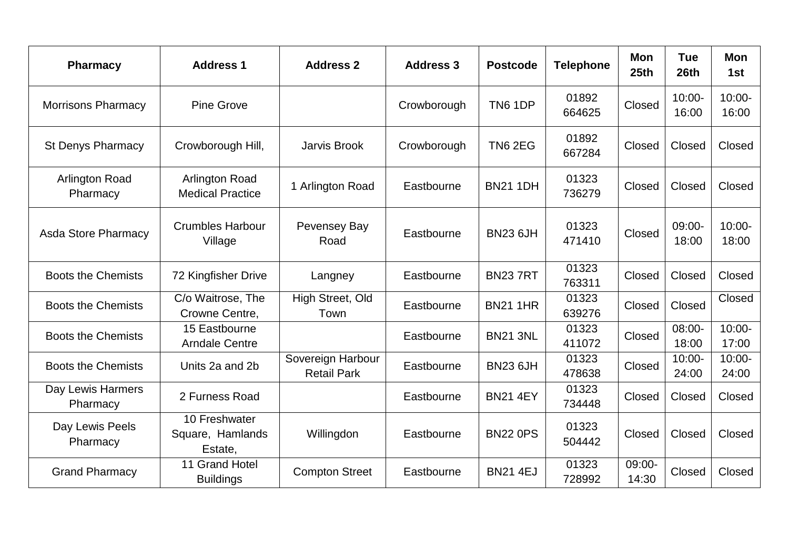| <b>Pharmacy</b>                   | <b>Address 1</b>                                 | <b>Address 2</b>                        | <b>Address 3</b> | <b>Postcode</b> | <b>Telephone</b> | <b>Mon</b><br>25 <sub>th</sub> | <b>Tue</b><br>26th | <b>Mon</b><br>1st  |
|-----------------------------------|--------------------------------------------------|-----------------------------------------|------------------|-----------------|------------------|--------------------------------|--------------------|--------------------|
| <b>Morrisons Pharmacy</b>         | <b>Pine Grove</b>                                |                                         | Crowborough      | <b>TN6 1DP</b>  | 01892<br>664625  | Closed                         | $10:00 -$<br>16:00 | $10:00 -$<br>16:00 |
| <b>St Denys Pharmacy</b>          | Crowborough Hill,                                | <b>Jarvis Brook</b>                     | Crowborough      | <b>TN6 2EG</b>  | 01892<br>667284  | Closed                         | Closed             | Closed             |
| <b>Arlington Road</b><br>Pharmacy | <b>Arlington Road</b><br><b>Medical Practice</b> | 1 Arlington Road                        | Eastbourne       | <b>BN21 1DH</b> | 01323<br>736279  | Closed                         | Closed             | Closed             |
| <b>Asda Store Pharmacy</b>        | <b>Crumbles Harbour</b><br>Village               | Pevensey Bay<br>Road                    | Eastbourne       | <b>BN23 6JH</b> | 01323<br>471410  | Closed                         | 09:00-<br>18:00    | $10:00 -$<br>18:00 |
| <b>Boots the Chemists</b>         | 72 Kingfisher Drive                              | Langney                                 | Eastbourne       | <b>BN237RT</b>  | 01323<br>763311  | Closed                         | Closed             | Closed             |
| <b>Boots the Chemists</b>         | C/o Waitrose, The<br>Crowne Centre,              | High Street, Old<br>Town                | Eastbourne       | <b>BN21 1HR</b> | 01323<br>639276  | Closed                         | Closed             | Closed             |
| <b>Boots the Chemists</b>         | 15 Eastbourne<br><b>Arndale Centre</b>           |                                         | Eastbourne       | <b>BN21 3NL</b> | 01323<br>411072  | Closed                         | 08:00-<br>18:00    | $10:00 -$<br>17:00 |
| <b>Boots the Chemists</b>         | Units 2a and 2b                                  | Sovereign Harbour<br><b>Retail Park</b> | Eastbourne       | <b>BN23 6JH</b> | 01323<br>478638  | Closed                         | $10:00 -$<br>24:00 | $10:00 -$<br>24:00 |
| Day Lewis Harmers<br>Pharmacy     | 2 Furness Road                                   |                                         | Eastbourne       | <b>BN21 4EY</b> | 01323<br>734448  | Closed                         | Closed             | Closed             |
| Day Lewis Peels<br>Pharmacy       | 10 Freshwater<br>Square, Hamlands<br>Estate,     | Willingdon                              | Eastbourne       | <b>BN22 0PS</b> | 01323<br>504442  | Closed                         | Closed             | Closed             |
| <b>Grand Pharmacy</b>             | 11 Grand Hotel<br><b>Buildings</b>               | <b>Compton Street</b>                   | Eastbourne       | <b>BN21 4EJ</b> | 01323<br>728992  | $09:00-$<br>14:30              | Closed             | Closed             |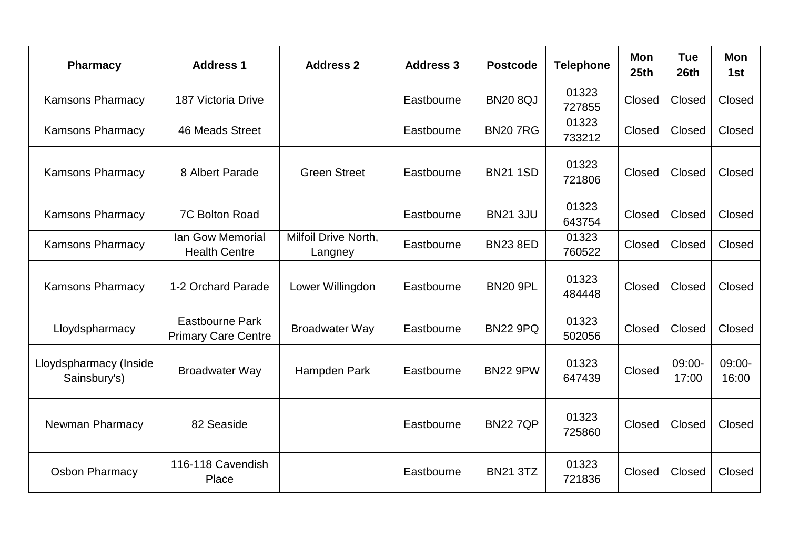| <b>Pharmacy</b>                        | <b>Address 1</b>                              | <b>Address 2</b>                | <b>Address 3</b> | <b>Postcode</b> | <b>Telephone</b> | <b>Mon</b><br>25 <sub>th</sub> | <b>Tue</b><br>26th | <b>Mon</b><br>1st |
|----------------------------------------|-----------------------------------------------|---------------------------------|------------------|-----------------|------------------|--------------------------------|--------------------|-------------------|
| <b>Kamsons Pharmacy</b>                | 187 Victoria Drive                            |                                 | Eastbourne       | <b>BN20 8QJ</b> | 01323<br>727855  | Closed                         | Closed             | Closed            |
| <b>Kamsons Pharmacy</b>                | 46 Meads Street                               |                                 | Eastbourne       | <b>BN207RG</b>  | 01323<br>733212  | Closed                         | Closed             | Closed            |
| <b>Kamsons Pharmacy</b>                | 8 Albert Parade                               | <b>Green Street</b>             | Eastbourne       | <b>BN21 1SD</b> | 01323<br>721806  | Closed                         | Closed             | Closed            |
| <b>Kamsons Pharmacy</b>                | 7C Bolton Road                                |                                 | Eastbourne       | <b>BN21 3JU</b> | 01323<br>643754  | Closed                         | Closed             | Closed            |
| <b>Kamsons Pharmacy</b>                | Ian Gow Memorial<br><b>Health Centre</b>      | Milfoil Drive North,<br>Langney | Eastbourne       | <b>BN23 8ED</b> | 01323<br>760522  | Closed                         | Closed             | Closed            |
| <b>Kamsons Pharmacy</b>                | 1-2 Orchard Parade                            | Lower Willingdon                | Eastbourne       | <b>BN20 9PL</b> | 01323<br>484448  | Closed                         | Closed             | Closed            |
| Lloydspharmacy                         | Eastbourne Park<br><b>Primary Care Centre</b> | <b>Broadwater Way</b>           | Eastbourne       | <b>BN22 9PQ</b> | 01323<br>502056  | Closed                         | Closed             | Closed            |
| Lloydspharmacy (Inside<br>Sainsbury's) | <b>Broadwater Way</b>                         | Hampden Park                    | Eastbourne       | <b>BN22 9PW</b> | 01323<br>647439  | Closed                         | $09:00-$<br>17:00  | $09:00-$<br>16:00 |
| <b>Newman Pharmacy</b>                 | 82 Seaside                                    |                                 | Eastbourne       | <b>BN227QP</b>  | 01323<br>725860  | Closed                         | Closed             | Closed            |
| <b>Osbon Pharmacy</b>                  | 116-118 Cavendish<br>Place                    |                                 | Eastbourne       | <b>BN21 3TZ</b> | 01323<br>721836  | Closed                         | Closed             | Closed            |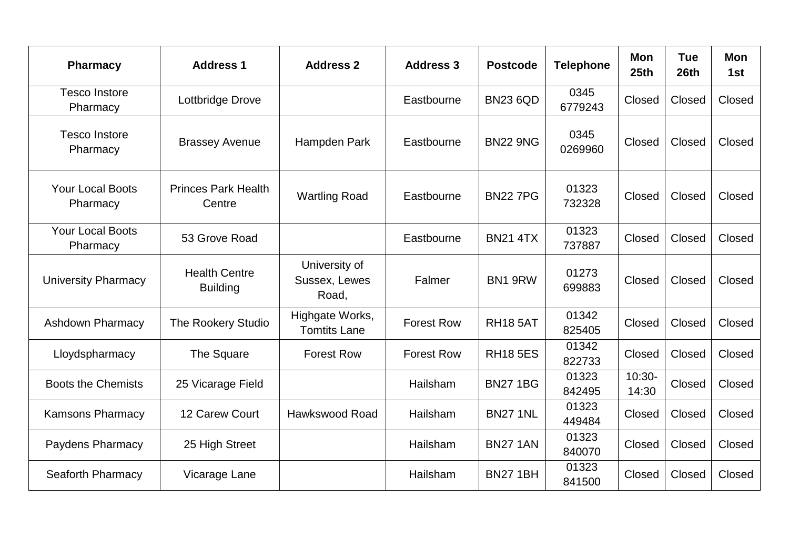| <b>Pharmacy</b>                     | <b>Address 1</b>                        | <b>Address 2</b>                        | <b>Address 3</b>  | <b>Postcode</b> | <b>Telephone</b> | <b>Mon</b><br>25 <sub>th</sub> | <b>Tue</b><br>26th | <b>Mon</b><br>1st |
|-------------------------------------|-----------------------------------------|-----------------------------------------|-------------------|-----------------|------------------|--------------------------------|--------------------|-------------------|
| <b>Tesco Instore</b><br>Pharmacy    | Lottbridge Drove                        |                                         | Eastbourne        | <b>BN23 6QD</b> | 0345<br>6779243  | Closed                         | Closed             | Closed            |
| <b>Tesco Instore</b><br>Pharmacy    | <b>Brassey Avenue</b>                   | Hampden Park                            | Eastbourne        | <b>BN22 9NG</b> | 0345<br>0269960  | Closed                         | Closed             | Closed            |
| Your Local Boots<br>Pharmacy        | <b>Princes Park Health</b><br>Centre    | <b>Wartling Road</b>                    | Eastbourne        | <b>BN227PG</b>  | 01323<br>732328  | Closed                         | Closed             | Closed            |
| <b>Your Local Boots</b><br>Pharmacy | 53 Grove Road                           |                                         | Eastbourne        | <b>BN21 4TX</b> | 01323<br>737887  | Closed                         | Closed             | Closed            |
| <b>University Pharmacy</b>          | <b>Health Centre</b><br><b>Building</b> | University of<br>Sussex, Lewes<br>Road, | Falmer            | BN1 9RW         | 01273<br>699883  | Closed                         | Closed             | Closed            |
| <b>Ashdown Pharmacy</b>             | <b>The Rookery Studio</b>               | Highgate Works,<br><b>Tomtits Lane</b>  | <b>Forest Row</b> | <b>RH18 5AT</b> | 01342<br>825405  | Closed                         | Closed             | Closed            |
| Lloydspharmacy                      | The Square                              | <b>Forest Row</b>                       | <b>Forest Row</b> | <b>RH18 5ES</b> | 01342<br>822733  | Closed                         | Closed             | Closed            |
| <b>Boots the Chemists</b>           | 25 Vicarage Field                       |                                         | Hailsham          | <b>BN27 1BG</b> | 01323<br>842495  | $10:30-$<br>14:30              | Closed             | Closed            |
| <b>Kamsons Pharmacy</b>             | 12 Carew Court                          | Hawkswood Road                          | Hailsham          | <b>BN27 1NL</b> | 01323<br>449484  | Closed                         | Closed             | Closed            |
| <b>Paydens Pharmacy</b>             | 25 High Street                          |                                         | Hailsham          | <b>BN27 1AN</b> | 01323<br>840070  | Closed                         | Closed             | Closed            |
| Seaforth Pharmacy                   | Vicarage Lane                           |                                         | Hailsham          | <b>BN27 1BH</b> | 01323<br>841500  | Closed                         | Closed             | Closed            |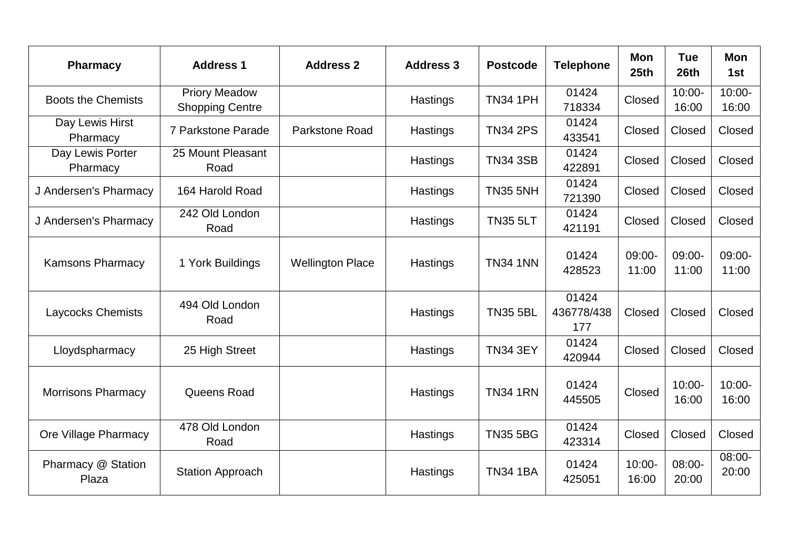| <b>Pharmacy</b>              | <b>Address 1</b>                               | <b>Address 2</b>        | <b>Address 3</b> | <b>Postcode</b> | <b>Telephone</b>           | Mon<br>25 <sub>th</sub> | <b>Tue</b><br>26th | Mon<br>1st         |
|------------------------------|------------------------------------------------|-------------------------|------------------|-----------------|----------------------------|-------------------------|--------------------|--------------------|
| <b>Boots the Chemists</b>    | <b>Priory Meadow</b><br><b>Shopping Centre</b> |                         | Hastings         | <b>TN34 1PH</b> | 01424<br>718334            | Closed                  | $10:00 -$<br>16:00 | $10:00 -$<br>16:00 |
| Day Lewis Hirst<br>Pharmacy  | 7 Parkstone Parade                             | Parkstone Road          | Hastings         | <b>TN34 2PS</b> | 01424<br>433541            | Closed                  | Closed             | Closed             |
| Day Lewis Porter<br>Pharmacy | 25 Mount Pleasant<br>Road                      |                         | Hastings         | <b>TN34 3SB</b> | 01424<br>422891            | Closed                  | Closed             | Closed             |
| J Andersen's Pharmacy        | 164 Harold Road                                |                         | Hastings         | <b>TN35 5NH</b> | 01424<br>721390            | Closed                  | Closed             | Closed             |
| J Andersen's Pharmacy        | 242 Old London<br>Road                         |                         | Hastings         | <b>TN35 5LT</b> | 01424<br>421191            | Closed                  | Closed             | Closed             |
| <b>Kamsons Pharmacy</b>      | 1 York Buildings                               | <b>Wellington Place</b> | Hastings         | <b>TN34 1NN</b> | 01424<br>428523            | 09:00-<br>11:00         | 09:00-<br>11:00    | 09:00-<br>11:00    |
| <b>Laycocks Chemists</b>     | 494 Old London<br>Road                         |                         | Hastings         | <b>TN35 5BL</b> | 01424<br>436778/438<br>177 | Closed                  | Closed             | Closed             |
| Lloydspharmacy               | 25 High Street                                 |                         | Hastings         | <b>TN34 3EY</b> | 01424<br>420944            | Closed                  | Closed             | Closed             |
| <b>Morrisons Pharmacy</b>    | Queens Road                                    |                         | Hastings         | <b>TN34 1RN</b> | 01424<br>445505            | Closed                  | $10:00 -$<br>16:00 | $10:00 -$<br>16:00 |
| Ore Village Pharmacy         | 478 Old London<br>Road                         |                         | Hastings         | <b>TN35 5BG</b> | 01424<br>423314            | Closed                  | Closed             | Closed             |
| Pharmacy @ Station<br>Plaza  | <b>Station Approach</b>                        |                         | Hastings         | <b>TN34 1BA</b> | 01424<br>425051            | $10:00 -$<br>16:00      | $08:00 -$<br>20:00 | 08:00-<br>20:00    |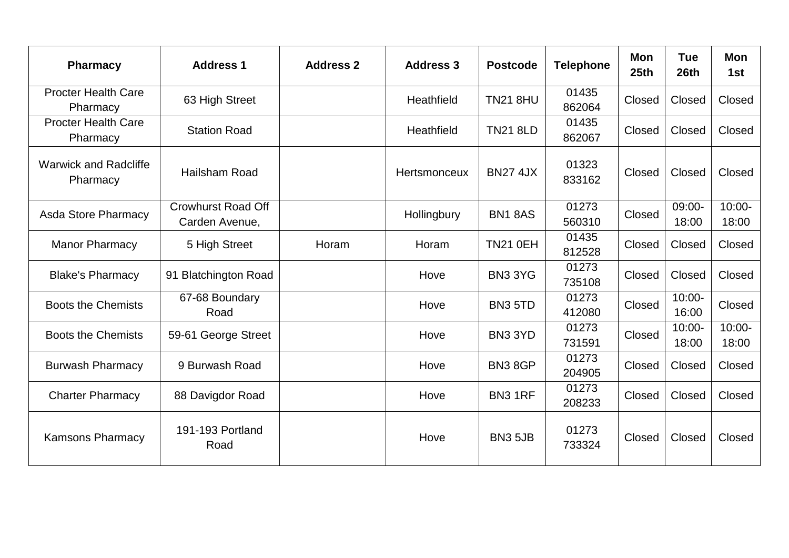| <b>Pharmacy</b>                          | <b>Address 1</b>                            | <b>Address 2</b> | <b>Address 3</b> | <b>Postcode</b>     | <b>Telephone</b> | Mon<br>25 <sub>th</sub> | <b>Tue</b><br>26th | <b>Mon</b><br>1st  |
|------------------------------------------|---------------------------------------------|------------------|------------------|---------------------|------------------|-------------------------|--------------------|--------------------|
| <b>Procter Health Care</b><br>Pharmacy   | 63 High Street                              |                  | Heathfield       | <b>TN21 8HU</b>     | 01435<br>862064  | Closed                  | Closed             | Closed             |
| <b>Procter Health Care</b><br>Pharmacy   | <b>Station Road</b>                         |                  | Heathfield       | <b>TN21 8LD</b>     | 01435<br>862067  | Closed                  | Closed             | Closed             |
| <b>Warwick and Radcliffe</b><br>Pharmacy | Hailsham Road                               |                  | Hertsmonceux     | <b>BN27 4JX</b>     | 01323<br>833162  | Closed                  | Closed             | Closed             |
| <b>Asda Store Pharmacy</b>               | <b>Crowhurst Road Off</b><br>Carden Avenue, |                  | Hollingbury      | <b>BN1 8AS</b>      | 01273<br>560310  | Closed                  | 09:00-<br>18:00    | $10:00 -$<br>18:00 |
| <b>Manor Pharmacy</b>                    | 5 High Street                               | Horam            | Horam            | <b>TN21 0EH</b>     | 01435<br>812528  | Closed                  | Closed             | Closed             |
| <b>Blake's Pharmacy</b>                  | 91 Blatchington Road                        |                  | Hove             | BN33YG              | 01273<br>735108  | Closed                  | Closed             | Closed             |
| <b>Boots the Chemists</b>                | 67-68 Boundary<br>Road                      |                  | Hove             | <b>BN3 5TD</b>      | 01273<br>412080  | Closed                  | 10:00-<br>16:00    | Closed             |
| <b>Boots the Chemists</b>                | 59-61 George Street                         |                  | Hove             | BN33YD              | 01273<br>731591  | Closed                  | $10:00 -$<br>18:00 | $10:00 -$<br>18:00 |
| <b>Burwash Pharmacy</b>                  | 9 Burwash Road                              |                  | Hove             | BN38GP              | 01273<br>204905  | Closed                  | Closed             | Closed             |
| <b>Charter Pharmacy</b>                  | 88 Davigdor Road                            |                  | Hove             | <b>BN3 1RF</b>      | 01273<br>208233  | Closed                  | Closed             | Closed             |
| <b>Kamsons Pharmacy</b>                  | 191-193 Portland<br>Road                    |                  | Hove             | BN <sub>3</sub> 5JB | 01273<br>733324  | Closed                  | Closed             | Closed             |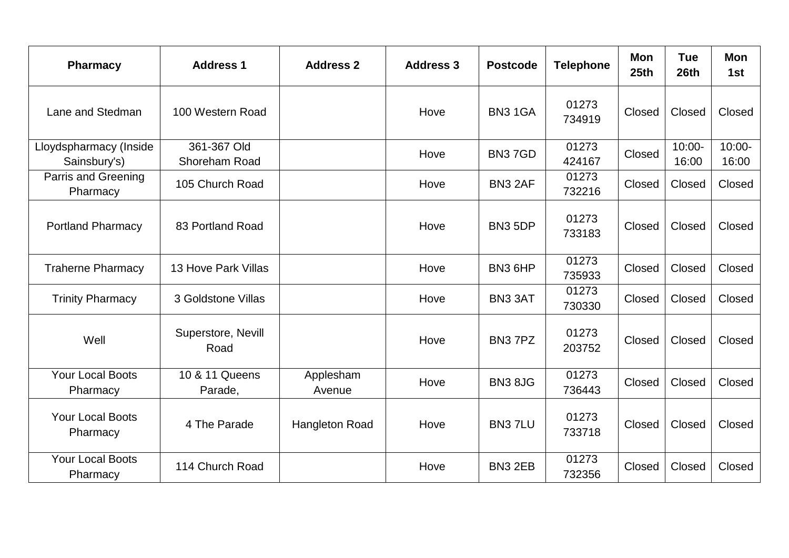| <b>Pharmacy</b>                        | <b>Address 1</b>             | <b>Address 2</b>    | <b>Address 3</b> | <b>Postcode</b>     | <b>Telephone</b> | <b>Mon</b><br>25 <sub>th</sub> | <b>Tue</b><br>26th | <b>Mon</b><br>1st  |
|----------------------------------------|------------------------------|---------------------|------------------|---------------------|------------------|--------------------------------|--------------------|--------------------|
| Lane and Stedman                       | 100 Western Road             |                     | Hove             | BN31GA              | 01273<br>734919  | Closed                         | Closed             | Closed             |
| Lloydspharmacy (Inside<br>Sainsbury's) | 361-367 Old<br>Shoreham Road |                     | Hove             | BN <sub>3</sub> 7GD | 01273<br>424167  | Closed                         | $10:00 -$<br>16:00 | $10:00 -$<br>16:00 |
| Parris and Greening<br>Pharmacy        | 105 Church Road              |                     | Hove             | BN3 2AF             | 01273<br>732216  | Closed                         | Closed             | Closed             |
| <b>Portland Pharmacy</b>               | 83 Portland Road             |                     | Hove             | BN <sub>3</sub> 5DP | 01273<br>733183  | Closed                         | Closed             | Closed             |
| <b>Traherne Pharmacy</b>               | 13 Hove Park Villas          |                     | Hove             | BN <sub>3</sub> 6HP | 01273<br>735933  | Closed                         | Closed             | Closed             |
| <b>Trinity Pharmacy</b>                | 3 Goldstone Villas           |                     | Hove             | BN3 3AT             | 01273<br>730330  | Closed                         | Closed             | Closed             |
| Well                                   | Superstore, Nevill<br>Road   |                     | Hove             | BN <sub>3</sub> 7PZ | 01273<br>203752  | Closed                         | Closed             | Closed             |
| <b>Your Local Boots</b><br>Pharmacy    | 10 & 11 Queens<br>Parade,    | Applesham<br>Avenue | Hove             | <b>BN3 8JG</b>      | 01273<br>736443  | Closed                         | Closed             | Closed             |
| <b>Your Local Boots</b><br>Pharmacy    | 4 The Parade                 | Hangleton Road      | Hove             | <b>BN3 7LU</b>      | 01273<br>733718  | Closed                         | Closed             | Closed             |
| <b>Your Local Boots</b><br>Pharmacy    | 114 Church Road              |                     | Hove             | BN3 2EB             | 01273<br>732356  | Closed                         | Closed             | Closed             |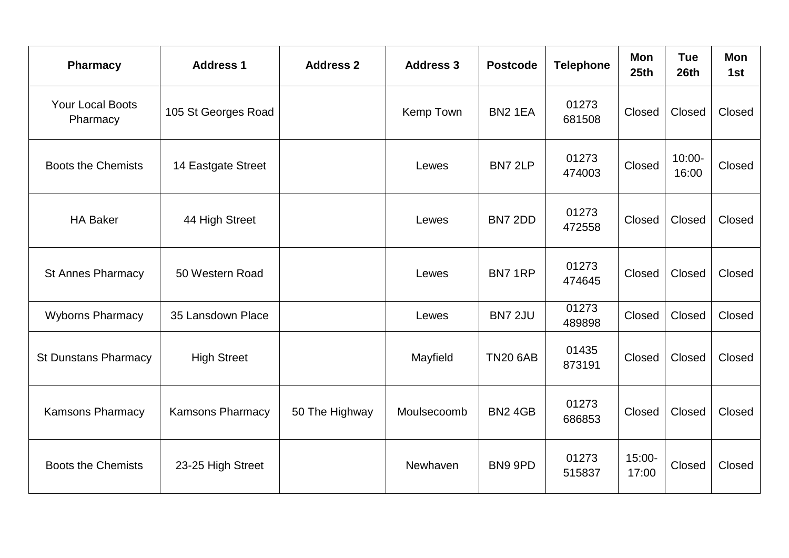| <b>Pharmacy</b>                     | <b>Address 1</b>        | <b>Address 2</b> | <b>Address 3</b> | <b>Postcode</b>     | <b>Telephone</b> | Mon<br>25 <sub>th</sub> | <b>Tue</b><br>26th | Mon<br>1st |
|-------------------------------------|-------------------------|------------------|------------------|---------------------|------------------|-------------------------|--------------------|------------|
| <b>Your Local Boots</b><br>Pharmacy | 105 St Georges Road     |                  | Kemp Town        | BN <sub>2</sub> 1EA | 01273<br>681508  | Closed                  | Closed             | Closed     |
| <b>Boots the Chemists</b>           | 14 Eastgate Street      |                  | Lewes            | BN7 2LP             | 01273<br>474003  | Closed                  | $10:00 -$<br>16:00 | Closed     |
| <b>HA Baker</b>                     | 44 High Street          |                  | Lewes            | BN7 2DD             | 01273<br>472558  | Closed                  | Closed             | Closed     |
| <b>St Annes Pharmacy</b>            | 50 Western Road         |                  | Lewes            | BN71RP              | 01273<br>474645  | Closed                  | Closed             | Closed     |
| <b>Wyborns Pharmacy</b>             | 35 Lansdown Place       |                  | Lewes            | <b>BN7 2JU</b>      | 01273<br>489898  | Closed                  | Closed             | Closed     |
| <b>St Dunstans Pharmacy</b>         | <b>High Street</b>      |                  | Mayfield         | <b>TN20 6AB</b>     | 01435<br>873191  | Closed                  | Closed             | Closed     |
| <b>Kamsons Pharmacy</b>             | <b>Kamsons Pharmacy</b> | 50 The Highway   | Moulsecoomb      | <b>BN2 4GB</b>      | 01273<br>686853  | Closed                  | Closed             | Closed     |
| <b>Boots the Chemists</b>           | 23-25 High Street       |                  | Newhaven         | BN9 9PD             | 01273<br>515837  | 15:00-<br>17:00         | Closed             | Closed     |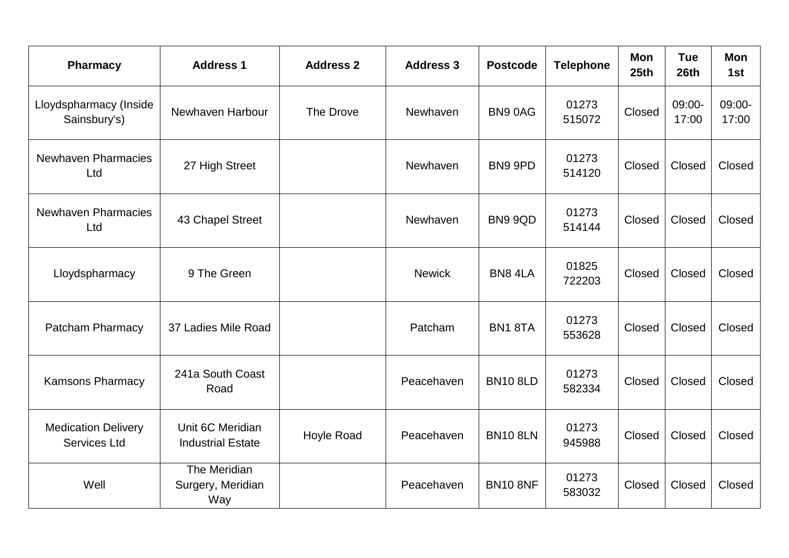| <b>Pharmacy</b>                                   | <b>Address 1</b>                             | <b>Address 2</b>  | <b>Address 3</b> | <b>Postcode</b> | <b>Telephone</b> | <b>Mon</b><br>25 <sub>th</sub> | <b>Tue</b><br>26th | <b>Mon</b><br>1st |
|---------------------------------------------------|----------------------------------------------|-------------------|------------------|-----------------|------------------|--------------------------------|--------------------|-------------------|
| Lloydspharmacy (Inside<br>Sainsbury's)            | Newhaven Harbour                             | The Drove         | Newhaven         | BN90AG          | 01273<br>515072  | Closed                         | 09:00-<br>17:00    | $09:00-$<br>17:00 |
| <b>Newhaven Pharmacies</b><br>Ltd                 | 27 High Street                               |                   | Newhaven         | BN9 9PD         | 01273<br>514120  | Closed                         | Closed             | Closed            |
| <b>Newhaven Pharmacies</b><br>Ltd                 | 43 Chapel Street                             |                   | Newhaven         | <b>BN9 9QD</b>  | 01273<br>514144  | Closed                         | Closed             | Closed            |
| Lloydspharmacy                                    | 9 The Green                                  |                   | <b>Newick</b>    | BN8 4LA         | 01825<br>722203  | Closed                         | Closed             | Closed            |
| <b>Patcham Pharmacy</b>                           | 37 Ladies Mile Road                          |                   | Patcham          | BN18TA          | 01273<br>553628  | Closed                         | Closed             | Closed            |
| <b>Kamsons Pharmacy</b>                           | 241a South Coast<br>Road                     |                   | Peacehaven       | <b>BN10 8LD</b> | 01273<br>582334  | Closed                         | Closed             | Closed            |
| <b>Medication Delivery</b><br><b>Services Ltd</b> | Unit 6C Meridian<br><b>Industrial Estate</b> | <b>Hoyle Road</b> | Peacehaven       | <b>BN10 8LN</b> | 01273<br>945988  | Closed                         | Closed             | Closed            |
| Well                                              | The Meridian<br>Surgery, Meridian<br>Way     |                   | Peacehaven       | <b>BN10 8NF</b> | 01273<br>583032  | Closed                         | Closed             | Closed            |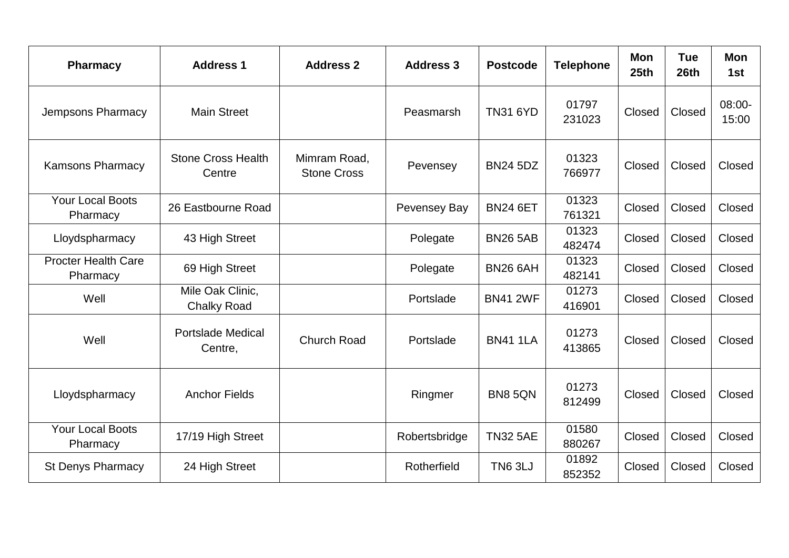| <b>Pharmacy</b>                        | <b>Address 1</b>                       | <b>Address 2</b>                   | <b>Address 3</b> | <b>Postcode</b> | <b>Telephone</b> | <b>Mon</b><br>25th | <b>Tue</b><br>26 <sub>th</sub> | <b>Mon</b><br>1st  |
|----------------------------------------|----------------------------------------|------------------------------------|------------------|-----------------|------------------|--------------------|--------------------------------|--------------------|
| Jempsons Pharmacy                      | <b>Main Street</b>                     |                                    | Peasmarsh        | <b>TN31 6YD</b> | 01797<br>231023  | Closed             | Closed                         | $08:00 -$<br>15:00 |
| <b>Kamsons Pharmacy</b>                | <b>Stone Cross Health</b><br>Centre    | Mimram Road,<br><b>Stone Cross</b> | Pevensey         | <b>BN24 5DZ</b> | 01323<br>766977  | Closed             | Closed                         | Closed             |
| <b>Your Local Boots</b><br>Pharmacy    | 26 Eastbourne Road                     |                                    | Pevensey Bay     | <b>BN24 6ET</b> | 01323<br>761321  | Closed             | Closed                         | Closed             |
| Lloydspharmacy                         | 43 High Street                         |                                    | Polegate         | <b>BN26 5AB</b> | 01323<br>482474  | Closed             | Closed                         | Closed             |
| <b>Procter Health Care</b><br>Pharmacy | 69 High Street                         |                                    | Polegate         | <b>BN26 6AH</b> | 01323<br>482141  | Closed             | Closed                         | Closed             |
| Well                                   | Mile Oak Clinic,<br><b>Chalky Road</b> |                                    | Portslade        | <b>BN41 2WF</b> | 01273<br>416901  | Closed             | Closed                         | Closed             |
| Well                                   | <b>Portslade Medical</b><br>Centre,    | <b>Church Road</b>                 | Portslade        | <b>BN41 1LA</b> | 01273<br>413865  | Closed             | Closed                         | Closed             |
| Lloydspharmacy                         | <b>Anchor Fields</b>                   |                                    | Ringmer          | <b>BN8 5QN</b>  | 01273<br>812499  | Closed             | Closed                         | Closed             |
| <b>Your Local Boots</b><br>Pharmacy    | 17/19 High Street                      |                                    | Robertsbridge    | <b>TN32 5AE</b> | 01580<br>880267  | Closed             | Closed                         | Closed             |
| <b>St Denys Pharmacy</b>               | 24 High Street                         |                                    | Rotherfield      | <b>TN6 3LJ</b>  | 01892<br>852352  | Closed             | Closed                         | Closed             |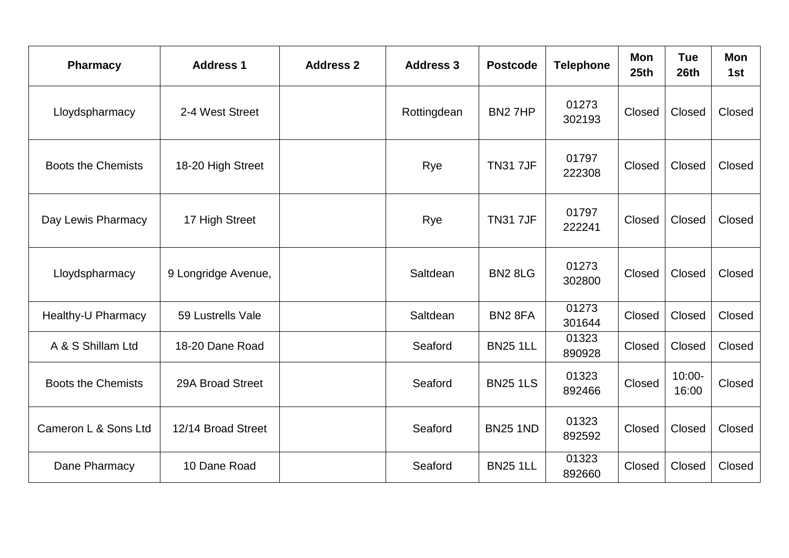| <b>Pharmacy</b>           | <b>Address 1</b>    | <b>Address 2</b> | <b>Address 3</b> | <b>Postcode</b>     | <b>Telephone</b> | <b>Mon</b><br>25th | <b>Tue</b><br>26 <sub>th</sub> | <b>Mon</b><br>1st |
|---------------------------|---------------------|------------------|------------------|---------------------|------------------|--------------------|--------------------------------|-------------------|
| Lloydspharmacy            | 2-4 West Street     |                  | Rottingdean      | BN27HP              | 01273<br>302193  | Closed             | Closed                         | Closed            |
| <b>Boots the Chemists</b> | 18-20 High Street   |                  | Rye              | <b>TN31 7JF</b>     | 01797<br>222308  | Closed             | Closed                         | Closed            |
| Day Lewis Pharmacy        | 17 High Street      |                  | Rye              | <b>TN317JF</b>      | 01797<br>222241  | Closed             | Closed                         | Closed            |
| Lloydspharmacy            | 9 Longridge Avenue, |                  | Saltdean         | <b>BN2 8LG</b>      | 01273<br>302800  | Closed             | Closed                         | Closed            |
| <b>Healthy-U Pharmacy</b> | 59 Lustrells Vale   |                  | Saltdean         | BN <sub>2</sub> 8FA | 01273<br>301644  | Closed             | Closed                         | Closed            |
| A & S Shillam Ltd         | 18-20 Dane Road     |                  | Seaford          | <b>BN25 1LL</b>     | 01323<br>890928  | Closed             | Closed                         | Closed            |
| <b>Boots the Chemists</b> | 29A Broad Street    |                  | Seaford          | <b>BN25 1LS</b>     | 01323<br>892466  | Closed             | $10:00 -$<br>16:00             | Closed            |
| Cameron L & Sons Ltd      | 12/14 Broad Street  |                  | Seaford          | <b>BN25 1ND</b>     | 01323<br>892592  | Closed             | Closed                         | Closed            |
| Dane Pharmacy             | 10 Dane Road        |                  | Seaford          | <b>BN25 1LL</b>     | 01323<br>892660  | Closed             | Closed                         | Closed            |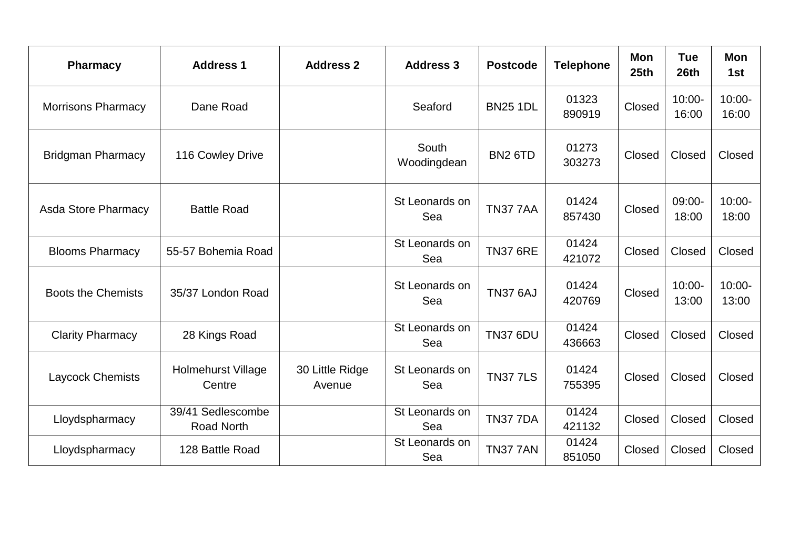| <b>Pharmacy</b>            | <b>Address 1</b>                       | <b>Address 2</b>          | <b>Address 3</b>      | <b>Postcode</b> | <b>Telephone</b> | Mon<br>25 <sub>th</sub> | <b>Tue</b><br>26th | Mon<br>1st         |
|----------------------------|----------------------------------------|---------------------------|-----------------------|-----------------|------------------|-------------------------|--------------------|--------------------|
| <b>Morrisons Pharmacy</b>  | Dane Road                              |                           | Seaford               | <b>BN25 1DL</b> | 01323<br>890919  | Closed                  | $10:00 -$<br>16:00 | $10:00 -$<br>16:00 |
| <b>Bridgman Pharmacy</b>   | 116 Cowley Drive                       |                           | South<br>Woodingdean  | <b>BN2 6TD</b>  | 01273<br>303273  | Closed                  | Closed             | Closed             |
| <b>Asda Store Pharmacy</b> | <b>Battle Road</b>                     |                           | St Leonards on<br>Sea | <b>TN37 7AA</b> | 01424<br>857430  | Closed                  | 09:00-<br>18:00    | $10:00 -$<br>18:00 |
| <b>Blooms Pharmacy</b>     | 55-57 Bohemia Road                     |                           | St Leonards on<br>Sea | <b>TN37 6RE</b> | 01424<br>421072  | Closed                  | Closed             | Closed             |
| <b>Boots the Chemists</b>  | 35/37 London Road                      |                           | St Leonards on<br>Sea | <b>TN37 6AJ</b> | 01424<br>420769  | Closed                  | $10:00 -$<br>13:00 | $10:00 -$<br>13:00 |
| <b>Clarity Pharmacy</b>    | 28 Kings Road                          |                           | St Leonards on<br>Sea | <b>TN37 6DU</b> | 01424<br>436663  | Closed                  | Closed             | Closed             |
| Laycock Chemists           | <b>Holmehurst Village</b><br>Centre    | 30 Little Ridge<br>Avenue | St Leonards on<br>Sea | <b>TN377LS</b>  | 01424<br>755395  | Closed                  | Closed             | Closed             |
| Lloydspharmacy             | 39/41 Sedlescombe<br><b>Road North</b> |                           | St Leonards on<br>Sea | <b>TN37 7DA</b> | 01424<br>421132  | Closed                  | Closed             | Closed             |
| Lloydspharmacy             | 128 Battle Road                        |                           | St Leonards on<br>Sea | <b>TN37 7AN</b> | 01424<br>851050  | Closed                  | Closed             | Closed             |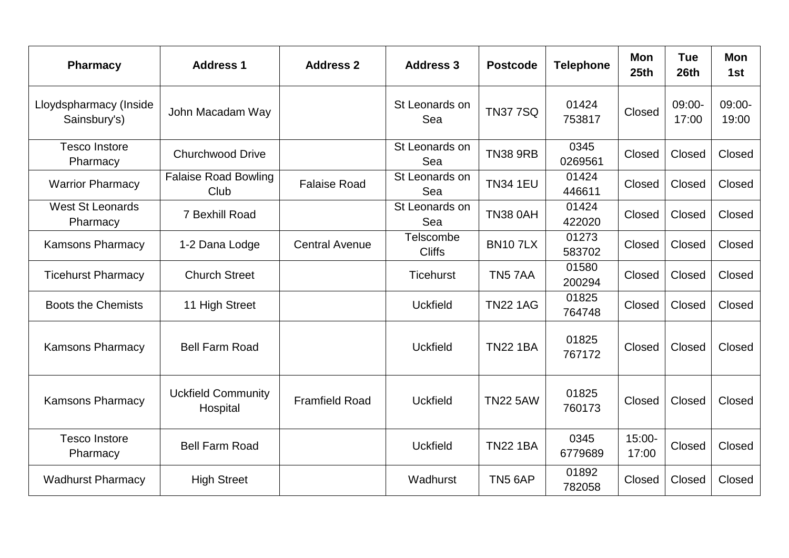| <b>Pharmacy</b>                        | <b>Address 1</b>                      | <b>Address 2</b>      | <b>Address 3</b>           | <b>Postcode</b> | <b>Telephone</b> | <b>Mon</b><br>25 <sub>th</sub> | <b>Tue</b><br>26th | <b>Mon</b><br>1st |
|----------------------------------------|---------------------------------------|-----------------------|----------------------------|-----------------|------------------|--------------------------------|--------------------|-------------------|
| Lloydspharmacy (Inside<br>Sainsbury's) | John Macadam Way                      |                       | St Leonards on<br>Sea      | <b>TN377SQ</b>  | 01424<br>753817  | Closed                         | 09:00-<br>17:00    | 09:00-<br>19:00   |
| <b>Tesco Instore</b><br>Pharmacy       | <b>Churchwood Drive</b>               |                       | St Leonards on<br>Sea      | <b>TN38 9RB</b> | 0345<br>0269561  | Closed                         | Closed             | Closed            |
| <b>Warrior Pharmacy</b>                | <b>Falaise Road Bowling</b><br>Club   | <b>Falaise Road</b>   | St Leonards on<br>Sea      | <b>TN34 1EU</b> | 01424<br>446611  | Closed                         | Closed             | Closed            |
| <b>West St Leonards</b><br>Pharmacy    | 7 Bexhill Road                        |                       | St Leonards on<br>Sea      | <b>TN38 0AH</b> | 01424<br>422020  | Closed                         | Closed             | Closed            |
| <b>Kamsons Pharmacy</b>                | 1-2 Dana Lodge                        | <b>Central Avenue</b> | Telscombe<br><b>Cliffs</b> | <b>BN107LX</b>  | 01273<br>583702  | Closed                         | Closed             | Closed            |
| <b>Ticehurst Pharmacy</b>              | <b>Church Street</b>                  |                       | Ticehurst                  | TN57AA          | 01580<br>200294  | Closed                         | Closed             | Closed            |
| <b>Boots the Chemists</b>              | 11 High Street                        |                       | <b>Uckfield</b>            | <b>TN22 1AG</b> | 01825<br>764748  | Closed                         | Closed             | Closed            |
| <b>Kamsons Pharmacy</b>                | <b>Bell Farm Road</b>                 |                       | <b>Uckfield</b>            | <b>TN22 1BA</b> | 01825<br>767172  | Closed                         | Closed             | Closed            |
| <b>Kamsons Pharmacy</b>                | <b>Uckfield Community</b><br>Hospital | <b>Framfield Road</b> | <b>Uckfield</b>            | <b>TN22 5AW</b> | 01825<br>760173  | Closed                         | Closed             | Closed            |
| <b>Tesco Instore</b><br>Pharmacy       | <b>Bell Farm Road</b>                 |                       | <b>Uckfield</b>            | <b>TN22 1BA</b> | 0345<br>6779689  | $15:00 -$<br>17:00             | Closed             | Closed            |
| <b>Wadhurst Pharmacy</b>               | <b>High Street</b>                    |                       | Wadhurst                   | <b>TN5 6AP</b>  | 01892<br>782058  | Closed                         | Closed             | Closed            |